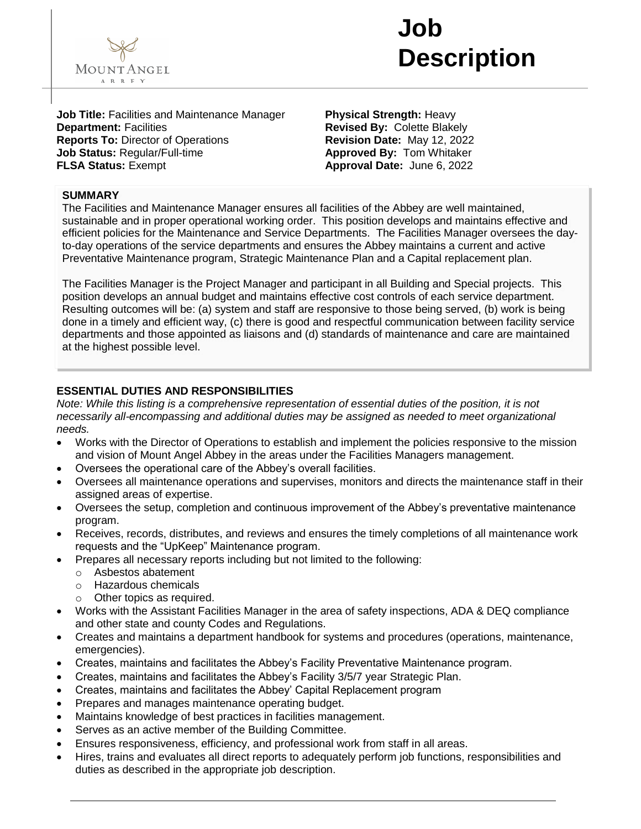

## **Job Description**

**Job Title:** Facilities and Maintenance Manager **Department:** Facilities **Reports To:** Director of Operations **Job Status:** Regular/Full-time **FLSA Status:** Exempt

**Physical Strength:** Heavy **Revised By:** Colette Blakely **Revision Date:** May 12, 2022 **Approved By:** Tom Whitaker **Approval Date:** June 6, 2022

### **SUMMARY**

The Facilities and Maintenance Manager ensures all facilities of the Abbey are well maintained, sustainable and in proper operational working order. This position develops and maintains effective and efficient policies for the Maintenance and Service Departments. The Facilities Manager oversees the dayto-day operations of the service departments and ensures the Abbey maintains a current and active Preventative Maintenance program, Strategic Maintenance Plan and a Capital replacement plan.

The Facilities Manager is the Project Manager and participant in all Building and Special projects. This position develops an annual budget and maintains effective cost controls of each service department. Resulting outcomes will be: (a) system and staff are responsive to those being served, (b) work is being done in a timely and efficient way, (c) there is good and respectful communication between facility service departments and those appointed as liaisons and (d) standards of maintenance and care are maintained at the highest possible level.

### **ESSENTIAL DUTIES AND RESPONSIBILITIES**

*Note: While this listing is a comprehensive representation of essential duties of the position, it is not necessarily all-encompassing and additional duties may be assigned as needed to meet organizational needs.*

- Works with the Director of Operations to establish and implement the policies responsive to the mission and vision of Mount Angel Abbey in the areas under the Facilities Managers management.
- Oversees the operational care of the Abbey's overall facilities.
- Oversees all maintenance operations and supervises, monitors and directs the maintenance staff in their assigned areas of expertise.
- Oversees the setup, completion and continuous improvement of the Abbey's preventative maintenance program.
- Receives, records, distributes, and reviews and ensures the timely completions of all maintenance work requests and the "UpKeep" Maintenance program.
- Prepares all necessary reports including but not limited to the following:
	- o Asbestos abatement
	- o Hazardous chemicals
	- o Other topics as required.
- Works with the Assistant Facilities Manager in the area of safety inspections, ADA & DEQ compliance and other state and county Codes and Regulations.
- Creates and maintains a department handbook for systems and procedures (operations, maintenance, emergencies).
- Creates, maintains and facilitates the Abbey's Facility Preventative Maintenance program.
- Creates, maintains and facilitates the Abbey's Facility 3/5/7 year Strategic Plan.
- Creates, maintains and facilitates the Abbey' Capital Replacement program
- Prepares and manages maintenance operating budget.
- Maintains knowledge of best practices in facilities management.
- Serves as an active member of the Building Committee.
- Ensures responsiveness, efficiency, and professional work from staff in all areas.
- Hires, trains and evaluates all direct reports to adequately perform job functions, responsibilities and duties as described in the appropriate job description.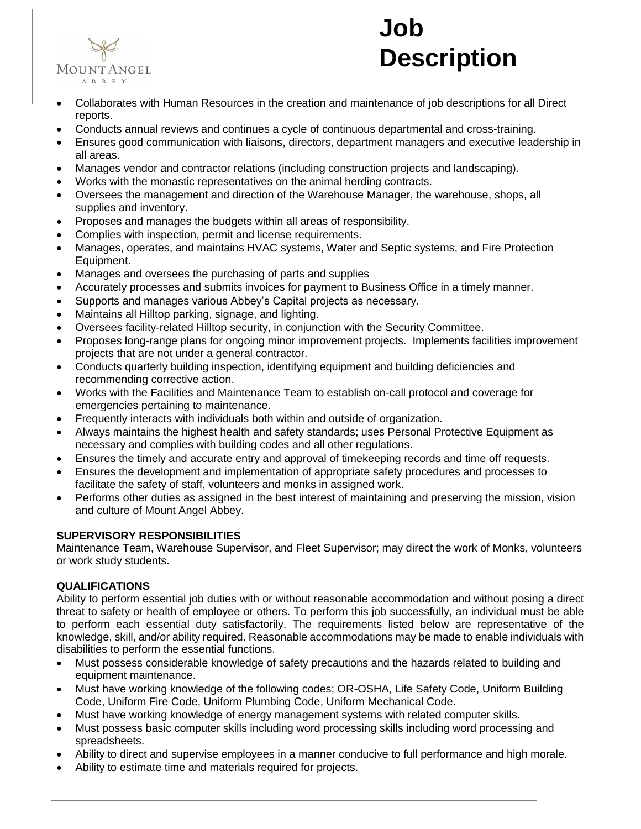



- Collaborates with Human Resources in the creation and maintenance of job descriptions for all Direct reports.
- Conducts annual reviews and continues a cycle of continuous departmental and cross-training.
- Ensures good communication with liaisons, directors, department managers and executive leadership in all areas.
- Manages vendor and contractor relations (including construction projects and landscaping).
- Works with the monastic representatives on the animal herding contracts.
- Oversees the management and direction of the Warehouse Manager, the warehouse, shops, all supplies and inventory.
- Proposes and manages the budgets within all areas of responsibility.
- Complies with inspection, permit and license requirements.
- Manages, operates, and maintains HVAC systems, Water and Septic systems, and Fire Protection Equipment.
- Manages and oversees the purchasing of parts and supplies
- Accurately processes and submits invoices for payment to Business Office in a timely manner.
- Supports and manages various Abbey's Capital projects as necessary.
- Maintains all Hilltop parking, signage, and lighting.
- Oversees facility-related Hilltop security, in conjunction with the Security Committee.
- Proposes long-range plans for ongoing minor improvement projects. Implements facilities improvement projects that are not under a general contractor.
- Conducts quarterly building inspection, identifying equipment and building deficiencies and recommending corrective action.
- Works with the Facilities and Maintenance Team to establish on-call protocol and coverage for emergencies pertaining to maintenance.
- Frequently interacts with individuals both within and outside of organization.
- Always maintains the highest health and safety standards; uses Personal Protective Equipment as necessary and complies with building codes and all other regulations.
- Ensures the timely and accurate entry and approval of timekeeping records and time off requests.
- Ensures the development and implementation of appropriate safety procedures and processes to facilitate the safety of staff, volunteers and monks in assigned work.
- Performs other duties as assigned in the best interest of maintaining and preserving the mission, vision and culture of Mount Angel Abbey.

#### **SUPERVISORY RESPONSIBILITIES**

Maintenance Team, Warehouse Supervisor, and Fleet Supervisor; may direct the work of Monks, volunteers or work study students.

#### **QUALIFICATIONS**

Ability to perform essential job duties with or without reasonable accommodation and without posing a direct threat to safety or health of employee or others. To perform this job successfully, an individual must be able to perform each essential duty satisfactorily. The requirements listed below are representative of the knowledge, skill, and/or ability required. Reasonable accommodations may be made to enable individuals with disabilities to perform the essential functions.

- Must possess considerable knowledge of safety precautions and the hazards related to building and equipment maintenance.
- Must have working knowledge of the following codes; OR-OSHA, Life Safety Code, Uniform Building Code, Uniform Fire Code, Uniform Plumbing Code, Uniform Mechanical Code.
- Must have working knowledge of energy management systems with related computer skills.
- Must possess basic computer skills including word processing skills including word processing and spreadsheets.
- Ability to direct and supervise employees in a manner conducive to full performance and high morale.
- Ability to estimate time and materials required for projects.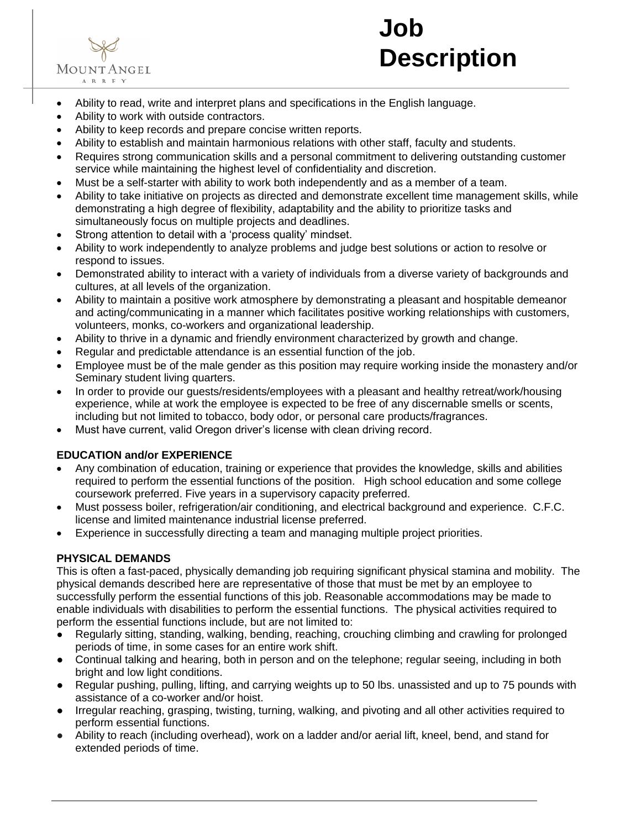

# **Job Description**

- Ability to read, write and interpret plans and specifications in the English language.
- Ability to work with outside contractors.
- Ability to keep records and prepare concise written reports.
- Ability to establish and maintain harmonious relations with other staff, faculty and students.
- Requires strong communication skills and a personal commitment to delivering outstanding customer service while maintaining the highest level of confidentiality and discretion.
- Must be a self-starter with ability to work both independently and as a member of a team.
- Ability to take initiative on projects as directed and demonstrate excellent time management skills, while demonstrating a high degree of flexibility, adaptability and the ability to prioritize tasks and simultaneously focus on multiple projects and deadlines.
- Strong attention to detail with a 'process quality' mindset.
- Ability to work independently to analyze problems and judge best solutions or action to resolve or respond to issues.
- Demonstrated ability to interact with a variety of individuals from a diverse variety of backgrounds and cultures, at all levels of the organization.
- Ability to maintain a positive work atmosphere by demonstrating a pleasant and hospitable demeanor and acting/communicating in a manner which facilitates positive working relationships with customers, volunteers, monks, co-workers and organizational leadership.
- Ability to thrive in a dynamic and friendly environment characterized by growth and change.
- Regular and predictable attendance is an essential function of the job.
- Employee must be of the male gender as this position may require working inside the monastery and/or Seminary student living quarters.
- In order to provide our guests/residents/employees with a pleasant and healthy retreat/work/housing experience, while at work the employee is expected to be free of any discernable smells or scents, including but not limited to tobacco, body odor, or personal care products/fragrances.
- Must have current, valid Oregon driver's license with clean driving record.

### **EDUCATION and/or EXPERIENCE**

- Any combination of education, training or experience that provides the knowledge, skills and abilities required to perform the essential functions of the position. High school education and some college coursework preferred. Five years in a supervisory capacity preferred.
- Must possess boiler, refrigeration/air conditioning, and electrical background and experience. C.F.C. license and limited maintenance industrial license preferred.
- Experience in successfully directing a team and managing multiple project priorities.

### **PHYSICAL DEMANDS**

This is often a fast-paced, physically demanding job requiring significant physical stamina and mobility. The physical demands described here are representative of those that must be met by an employee to successfully perform the essential functions of this job. Reasonable accommodations may be made to enable individuals with disabilities to perform the essential functions. The physical activities required to perform the essential functions include, but are not limited to:

- Regularly sitting, standing, walking, bending, reaching, crouching climbing and crawling for prolonged periods of time, in some cases for an entire work shift.
- Continual talking and hearing, both in person and on the telephone; regular seeing, including in both bright and low light conditions.
- Regular pushing, pulling, lifting, and carrying weights up to 50 lbs. unassisted and up to 75 pounds with assistance of a co-worker and/or hoist.
- Irregular reaching, grasping, twisting, turning, walking, and pivoting and all other activities required to perform essential functions.
- Ability to reach (including overhead), work on a ladder and/or aerial lift, kneel, bend, and stand for extended periods of time.